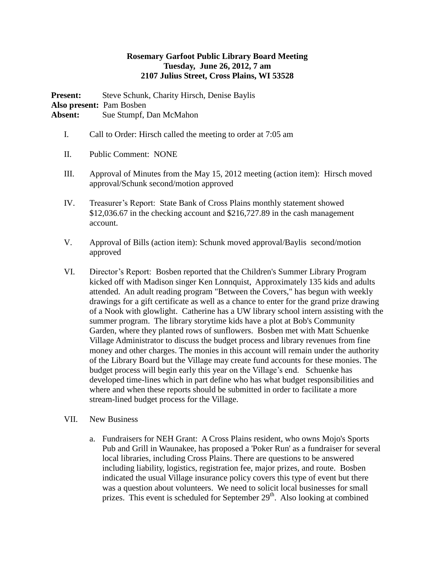## **Rosemary Garfoot Public Library Board Meeting Tuesday, June 26, 2012, 7 am 2107 Julius Street, Cross Plains, WI 53528**

**Present:** Steve Schunk, Charity Hirsch, Denise Baylis **Also present:** Pam Bosben Absent: Sue Stumpf, Dan McMahon

- I. Call to Order: Hirsch called the meeting to order at 7:05 am
- II. Public Comment: NONE
- III. Approval of Minutes from the May 15, 2012 meeting (action item): Hirsch moved approval/Schunk second/motion approved
- IV. Treasurer's Report: State Bank of Cross Plains monthly statement showed \$12,036.67 in the checking account and \$216,727.89 in the cash management account.
- V. Approval of Bills (action item): Schunk moved approval/Baylis second/motion approved
- VI. Director's Report: Bosben reported that the Children's Summer Library Program kicked off with Madison singer Ken Lonnquist, Approximately 135 kids and adults attended. An adult reading program "Between the Covers," has begun with weekly drawings for a gift certificate as well as a chance to enter for the grand prize drawing of a Nook with glowlight. Catherine has a UW library school intern assisting with the summer program. The library storytime kids have a plot at Bob's Community Garden, where they planted rows of sunflowers. Bosben met with Matt Schuenke Village Administrator to discuss the budget process and library revenues from fine money and other charges. The monies in this account will remain under the authority of the Library Board but the Village may create fund accounts for these monies. The budget process will begin early this year on the Village's end. Schuenke has developed time-lines which in part define who has what budget responsibilities and where and when these reports should be submitted in order to facilitate a more stream-lined budget process for the Village.
- VII. New Business
	- a. Fundraisers for NEH Grant: A Cross Plains resident, who owns Mojo's Sports Pub and Grill in Waunakee, has proposed a 'Poker Run' as a fundraiser for several local libraries, including Cross Plains. There are questions to be answered including liability, logistics, registration fee, major prizes, and route. Bosben indicated the usual Village insurance policy covers this type of event but there was a question about volunteers. We need to solicit local businesses for small prizes. This event is scheduled for September  $29<sup>th</sup>$ . Also looking at combined